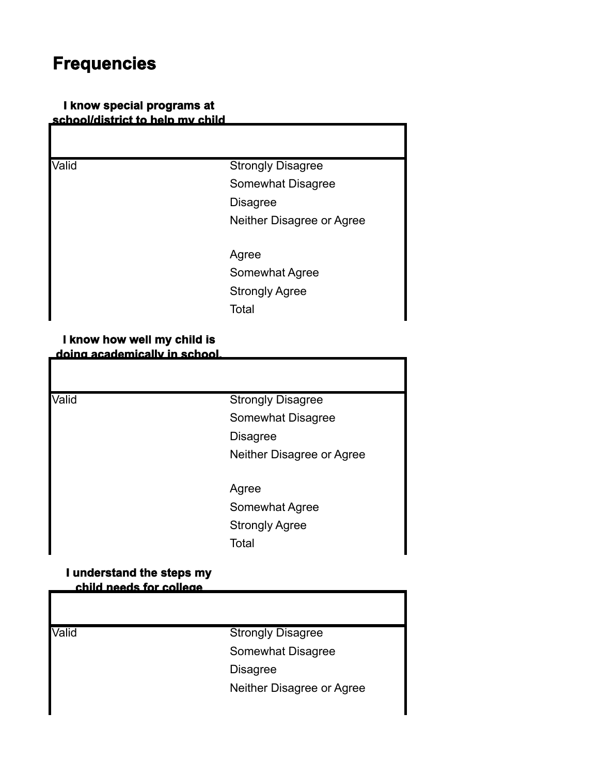# **Frequencies**

# **I know special programs at school/district to help my child**

| Valid | <b>Strongly Disagree</b>  |
|-------|---------------------------|
|       | Somewhat Disagree         |
|       | <b>Disagree</b>           |
|       | Neither Disagree or Agree |
|       | Agree                     |
|       | Somewhat Agree            |
|       | <b>Strongly Agree</b>     |
|       | Total                     |

# **I know how well my child is doing academically in school.**

| Valid | <b>Strongly Disagree</b>  |
|-------|---------------------------|
|       | Somewhat Disagree         |
|       | <b>Disagree</b>           |
|       | Neither Disagree or Agree |
|       | Agree                     |
|       | Somewhat Agree            |
|       | <b>Strongly Agree</b>     |
|       | Total                     |

#### **I understand the steps my child needs for college**

| Valid | <b>Strongly Disagree</b>  |
|-------|---------------------------|
|       | Somewhat Disagree         |
|       | <b>Disagree</b>           |
|       | Neither Disagree or Agree |
|       |                           |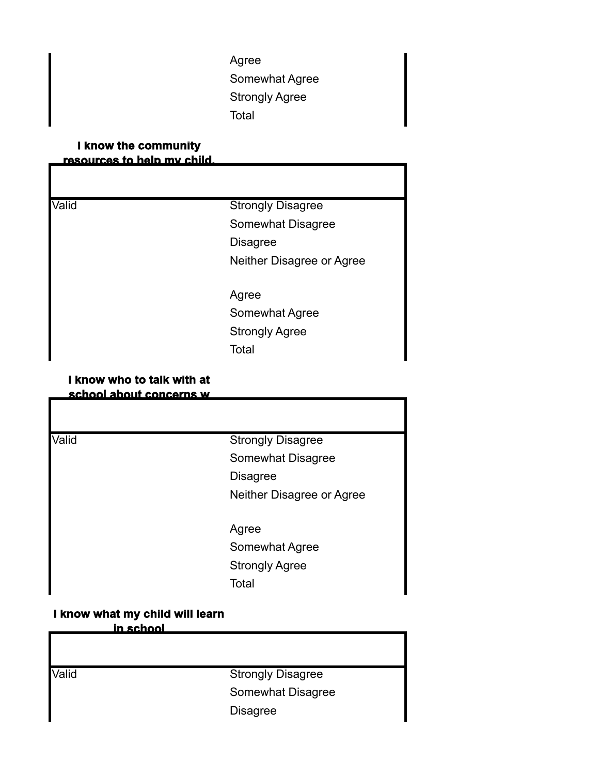Agree Somewhat Agree Strongly Agree Total

# **I know the community resources to help my child.**

| Valid | <b>Strongly Disagree</b>  |
|-------|---------------------------|
|       | Somewhat Disagree         |
|       | <b>Disagree</b>           |
|       | Neither Disagree or Agree |
|       | Agree                     |
|       | Somewhat Agree            |
|       | <b>Strongly Agree</b>     |
|       | Total                     |

# **I know who to talk with at school about concerns w**

| school about contact its w |                           |
|----------------------------|---------------------------|
|                            |                           |
| Valid                      | <b>Strongly Disagree</b>  |
|                            | Somewhat Disagree         |
|                            | <b>Disagree</b>           |
|                            | Neither Disagree or Agree |
|                            | Agree                     |
|                            | Somewhat Agree            |
|                            | <b>Strongly Agree</b>     |
|                            | Total                     |
|                            |                           |

# **I know what my child will learn**

**in school**

Valid **Valid** Strongly Disagree Somewhat Disagree Disagree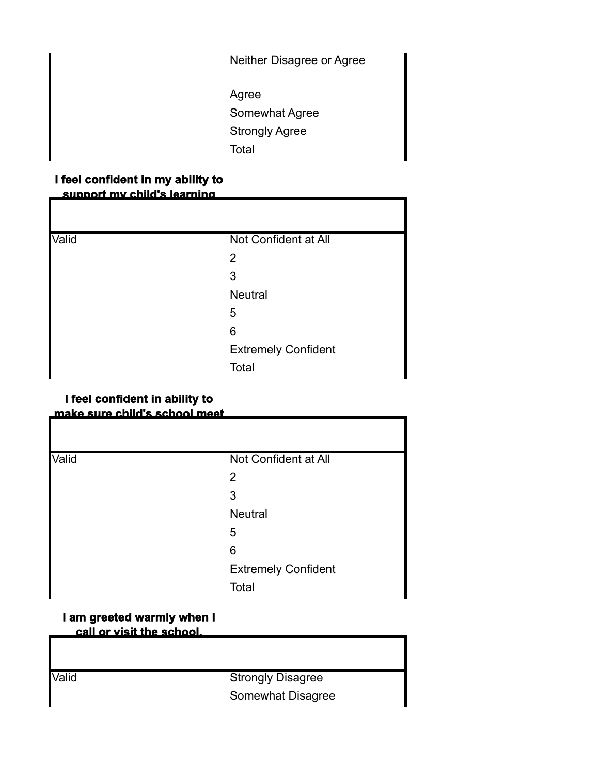Neither Disagree or Agree

Agree Somewhat Agree Strongly Agree Total

# **I feel confident in my ability to support my child's learning**

| Valid | Not Confident at All       |
|-------|----------------------------|
|       | $\overline{2}$             |
|       | 3                          |
|       | <b>Neutral</b>             |
|       | 5                          |
|       | 6                          |
|       | <b>Extremely Confident</b> |
|       | Total                      |

# **I feel confident in ability to make sure child's school meet**

| Valid | Not Confident at All       |
|-------|----------------------------|
|       | 2                          |
|       | 3                          |
|       | <b>Neutral</b>             |
|       | 5                          |
|       | 6                          |
|       | <b>Extremely Confident</b> |
|       | Total                      |

# **I am greeted warmly when I call or visit the school.**

Valid **Strongly Disagree** Somewhat Disagree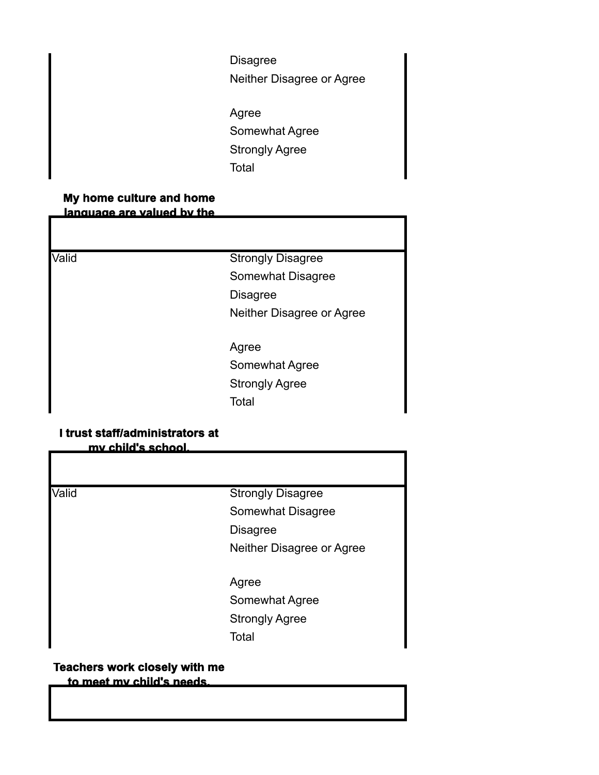Disagree Neither Disagree or Agree Agree Somewhat Agree Strongly Agree **Total** 

# **My home culture and home language are valued by the**

Valid **Valid** Strongly Disagree Somewhat Disagree Disagree Neither Disagree or Agree

> Agree Somewhat Agree Strongly Agree **Total**

# **I trust staff/administrators at my child's school.**

Valid **Strongly Disagree** Somewhat Disagree Disagree Neither Disagree or Agree Agree Somewhat Agree Strongly Agree **Total** 

# **Teachers work closely with me to meet my child's needs.**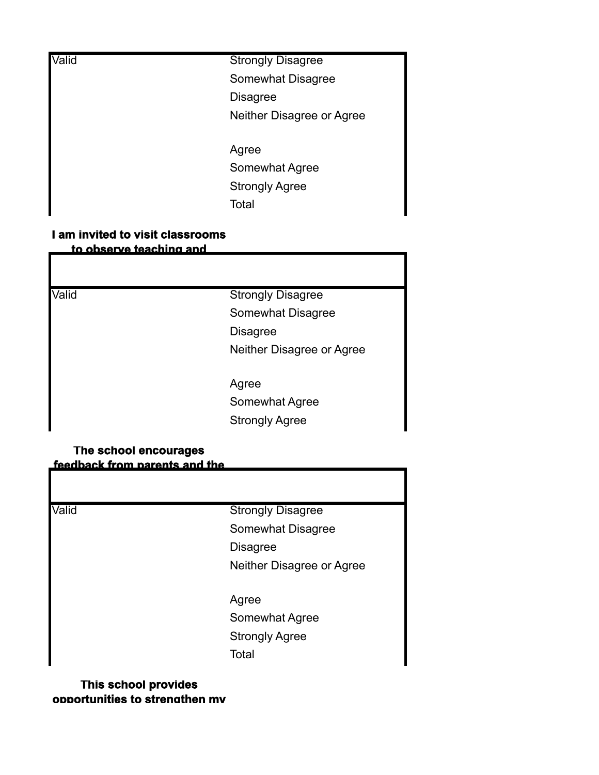| Valid | <b>Strongly Disagree</b>  |
|-------|---------------------------|
|       | Somewhat Disagree         |
|       | <b>Disagree</b>           |
|       | Neither Disagree or Agree |
|       | Agree                     |
|       | Somewhat Agree            |
|       | <b>Strongly Agree</b>     |

**Total** 

# **I am invited to visit classrooms to observe teaching and**

Valid **Strongly Disagree** Somewhat Disagree Disagree Neither Disagree or Agree Agree Somewhat Agree Strongly Agree

# **The school encourages feedback from parents and the**

Valid **Valid** Strongly Disagree Somewhat Disagree Disagree Neither Disagree or Agree

> Agree Somewhat Agree Strongly Agree **Total**

# **This school provides opportunities to strengthen my**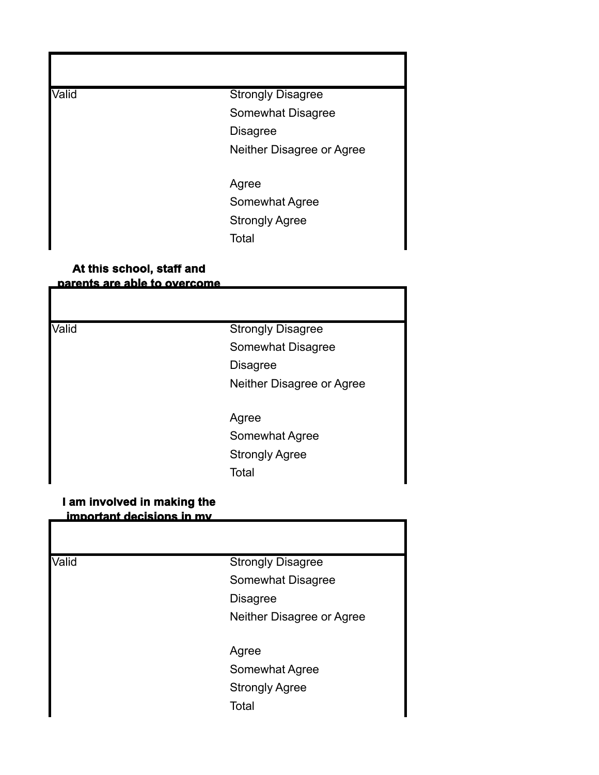Valid **Valid** Strongly Disagree Somewhat Disagree Disagree Neither Disagree or Agree

> Agree Somewhat Agree Strongly Agree **Total**

# **At this school, staff and parents are able to overcome**

Valid **Strongly Disagree** Somewhat Disagree Disagree Neither Disagree or Agree

> Agree Somewhat Agree Strongly Agree Total

#### **I am involved in making the important decisions in my**

Valid **Strongly Disagree** Somewhat Disagree Disagree Neither Disagree or Agree Agree Somewhat Agree Strongly Agree **Total**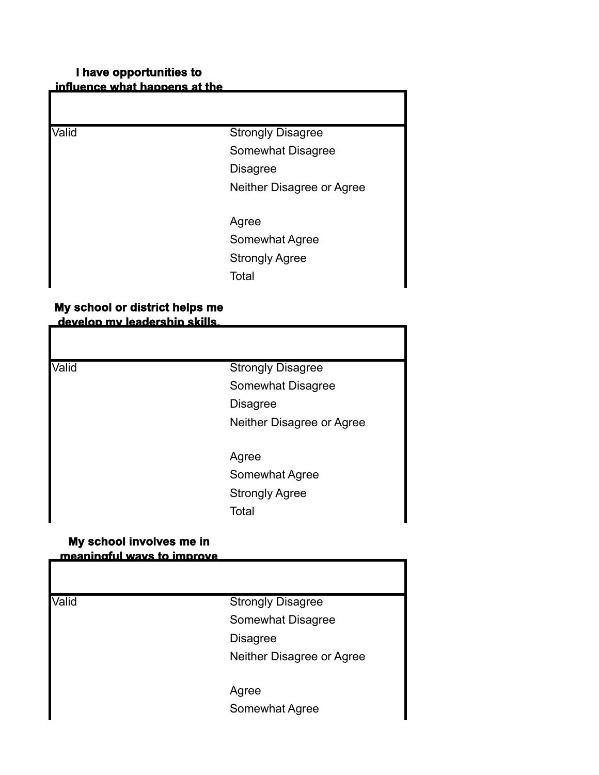# **I have opportunities to influence what happens at the**

| Valid | <b>Strongly Disagree</b>  |
|-------|---------------------------|
|       | Somewhat Disagree         |
|       | <b>Disagree</b>           |
|       | Neither Disagree or Agree |
|       | Agree                     |
|       | Somewhat Agree            |
|       | <b>Strongly Agree</b>     |
|       | Total                     |

# **My school or district helps me develop my leadership skills.**

**Strongly Disagree** Somewhat Disagree Disagree Neither Disagree or Agree

Agree Somewhat Agree Strongly Agree Total

# **My school involves me in meaningful ways to improve**

| Valid | <b>Strongly Disagree</b>  |
|-------|---------------------------|
|       | Somewhat Disagree         |
|       | <b>Disagree</b>           |
|       | Neither Disagree or Agree |
|       | Agree                     |
|       | Somewhat Agree            |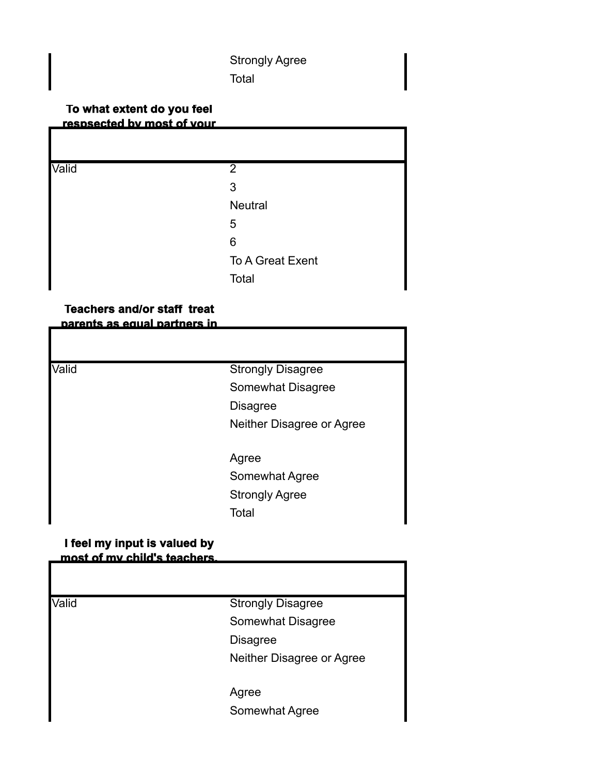# Strongly Agree Total

# **To what extent do you feel respsected by most of your**

| $\overline{2}$   |
|------------------|
| 3                |
| Neutral          |
| 5                |
| 6                |
| To A Great Exent |
| Total            |
|                  |

#### **Teachers and/or staff treat parents as equal partners in**

| <b>Strongly Disagree</b>  |
|---------------------------|
| Somewhat Disagree         |
| <b>Disagree</b>           |
| Neither Disagree or Agree |
| Agree                     |
| Somewhat Agree            |
| <b>Strongly Agree</b>     |
| Total                     |
|                           |

# **I feel my input is valued by most of my child's teachers.**

| <u>MOSL OL MV GNIO S TEACHERS.</u> |                           |
|------------------------------------|---------------------------|
| Valid                              | <b>Strongly Disagree</b>  |
|                                    | Somewhat Disagree         |
|                                    | <b>Disagree</b>           |
|                                    | Neither Disagree or Agree |
|                                    | Agree                     |
|                                    | Somewhat Agree            |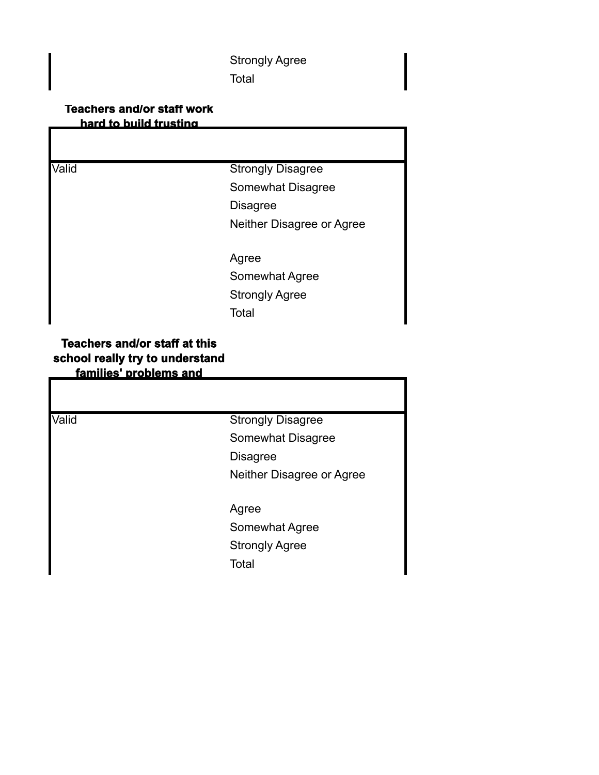Strongly Agree **Total** 

# **Teachers and/or staff work hard to build trusting**

Valid **Strongly Disagree** Somewhat Disagree Disagree Neither Disagree or Agree

> Agree Somewhat Agree

Strongly Agree

**Total** 

# **Teachers and/or staff at this school really try to understand families' problems and**

Valid **Strongly Disagree** Somewhat Disagree Disagree Neither Disagree or Agree Agree Somewhat Agree Strongly Agree **Total**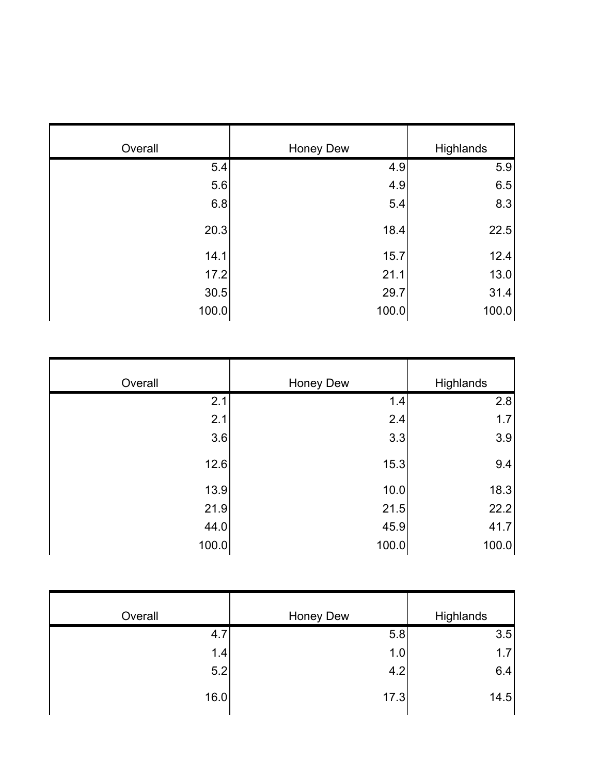| Overall | Honey Dew | Highlands |
|---------|-----------|-----------|
| 5.4     | 4.9       | 5.9       |
| 5.6     | 4.9       | 6.5       |
| 6.8     | 5.4       | 8.3       |
| 20.3    | 18.4      | 22.5      |
| 14.1    | 15.7      | 12.4      |
| 17.2    | 21.1      | 13.0      |
| 30.5    | 29.7      | 31.4      |
| 100.0   | 100.0     | 100.0     |

| Overall | Honey Dew | Highlands |
|---------|-----------|-----------|
| 2.1     | 1.4       | 2.8       |
| 2.1     | 2.4       | 1.7       |
| 3.6     | 3.3       | 3.9       |
| 12.6    | 15.3      | 9.4       |
| 13.9    | 10.0      | 18.3      |
| 21.9    | 21.5      | 22.2      |
| 44.0    | 45.9      | 41.7      |
| 100.0   | 100.0     | 100.0     |

| Overall | Honey Dew | Highlands |
|---------|-----------|-----------|
| 4.7     | 5.8       | 3.5       |
| 1.4     | 1.0       | 1.7       |
| 5.2     | 4.2       | 6.4       |
| 16.0    | 17.3      | 14.5      |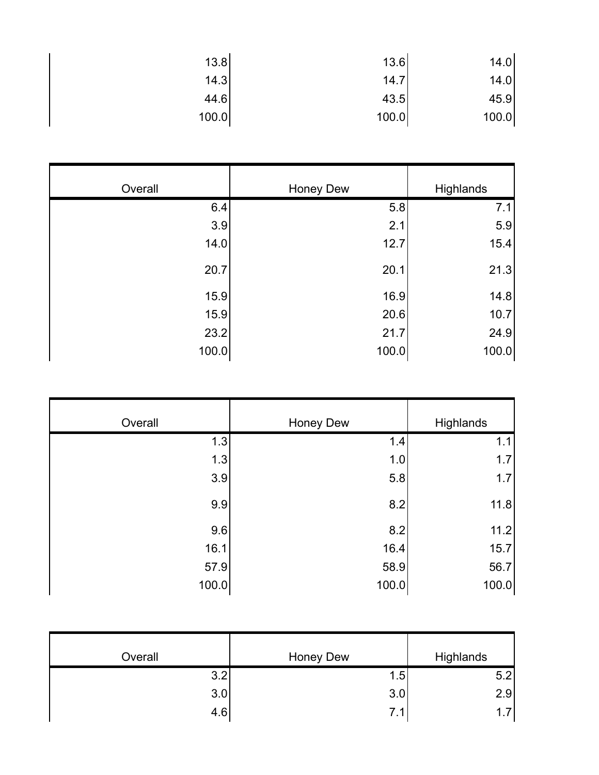| 13.8  | 13.6  | 14.0  |
|-------|-------|-------|
| 14.3  | 14.7  | 14.0  |
| 44.6  | 43.5  | 45.9  |
| 100.0 | 100.0 | 100.0 |

| Overall | <b>Honey Dew</b> | Highlands |
|---------|------------------|-----------|
| 6.4     | 5.8              | 7.1       |
| 3.9     | 2.1              | 5.9       |
| 14.0    | 12.7             | 15.4      |
| 20.7    | 20.1             | 21.3      |
| 15.9    | 16.9             | 14.8      |
| 15.9    | 20.6             | 10.7      |
| 23.2    | 21.7             | 24.9      |
| 100.0   | 100.0            | 100.0     |

| Overall | <b>Honey Dew</b> | Highlands |
|---------|------------------|-----------|
| 1.3     | 1.4              | 1.1       |
| 1.3     | 1.0              | 1.7       |
| 3.9     | 5.8              | 1.7       |
| 9.9     | 8.2              | 11.8      |
| 9.6     | 8.2              | 11.2      |
| 16.1    | 16.4             | 15.7      |
| 57.9    | 58.9             | 56.7      |
| 100.0   | 100.0            | 100.0     |

| Overall | Honey Dew | Highlands |
|---------|-----------|-----------|
| 3.2     | 1.5       | 5.2       |
| 3.0     | 3.0       | 2.9       |
| 4.6     | 7.1       | $-1$ 7    |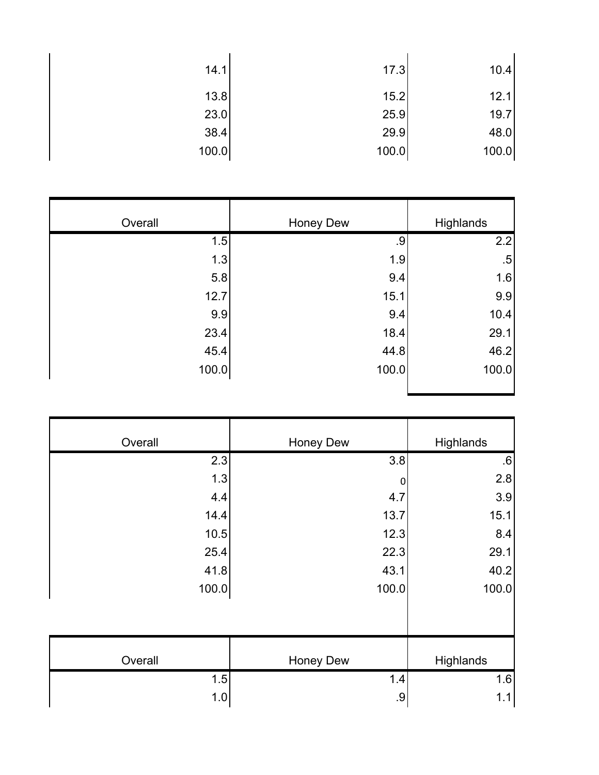| 14.1  | 17.3  | 10.4  |
|-------|-------|-------|
| 13.8  | 15.2  | 12.1  |
| 23.0  | 25.9  | 19.7  |
| 38.4  | 29.9  | 48.0  |
| 100.0 | 100.0 | 100.0 |

| Overall | <b>Honey Dew</b> | Highlands |
|---------|------------------|-----------|
| 1.5     | .9               | 2.2       |
| 1.3     | 1.9              | $.5\,$    |
| 5.8     | 9.4              | 1.6       |
| 12.7    | 15.1             | 9.9       |
| 9.9     | 9.4              | 10.4      |
| 23.4    | 18.4             | 29.1      |
| 45.4    | 44.8             | 46.2      |
| 100.0   | 100.0            | 100.0     |

| Highlands | Honey Dew        | Overall |
|-----------|------------------|---------|
| .6        | 3.8              | 2.3     |
| 2.8       | $\boldsymbol{0}$ | 1.3     |
| 3.9       | 4.7              | 4.4     |
| 15.1      | 13.7             | 14.4    |
| 8.4       | 12.3             | 10.5    |
| 29.1      | 22.3             | 25.4    |
| 40.2      | 43.1             | 41.8    |
| 100.0     | 100.0            | 100.0   |
|           |                  |         |
| Highlands | Honey Dew        | Overall |
| 1.6       | 1.4              | 1.5     |
| $1.1$     | .9               | 1.0     |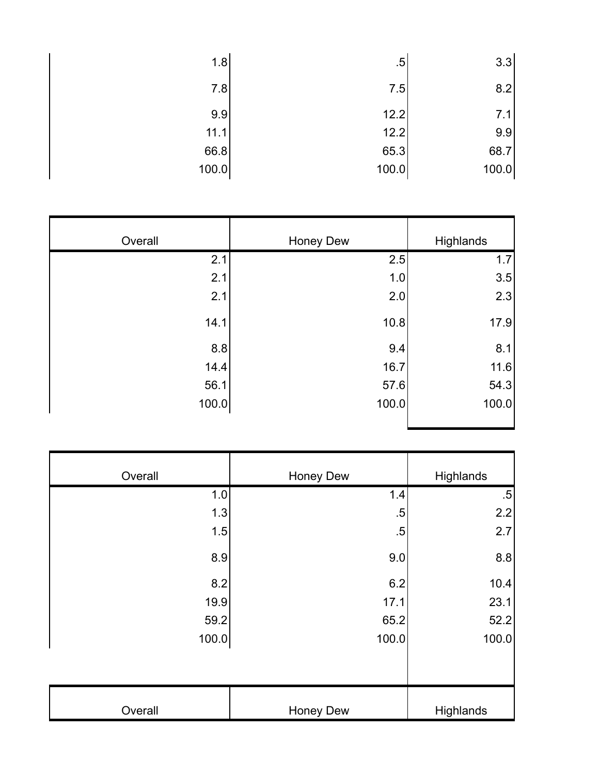| 1.8   | $.5^{\circ}$ | 3.3   |
|-------|--------------|-------|
| 7.8   | 7.5          | 8.2   |
| 9.9   | 12.2         | 7.1   |
| 11.1  | 12.2         | 9.9   |
| 66.8  | 65.3         | 68.7  |
| 100.0 | 100.0        | 100.0 |

| Overall | Honey Dew | Highlands |
|---------|-----------|-----------|
| 2.1     | 2.5       | 1.7       |
| 2.1     | 1.0       | 3.5       |
| 2.1     | 2.0       | 2.3       |
| 14.1    | 10.8      | 17.9      |
| 8.8     | 9.4       | 8.1       |
| 14.4    | 16.7      | 11.6      |
| 56.1    | 57.6      | 54.3      |
| 100.0   | 100.0     | 100.0     |

| Overall | Honey Dew | Highlands |
|---------|-----------|-----------|
| 1.0     | 1.4       | $.5\,$    |
| 1.3     | $.5\,$    | 2.2       |
| 1.5     | $.5\,$    | 2.7       |
| 8.9     | 9.0       | 8.8       |
| 8.2     | 6.2       | 10.4      |
| 19.9    | 17.1      | 23.1      |
| 59.2    | 65.2      | 52.2      |
| 100.0   | 100.0     | 100.0     |
|         |           |           |
| Overall | Honey Dew | Highlands |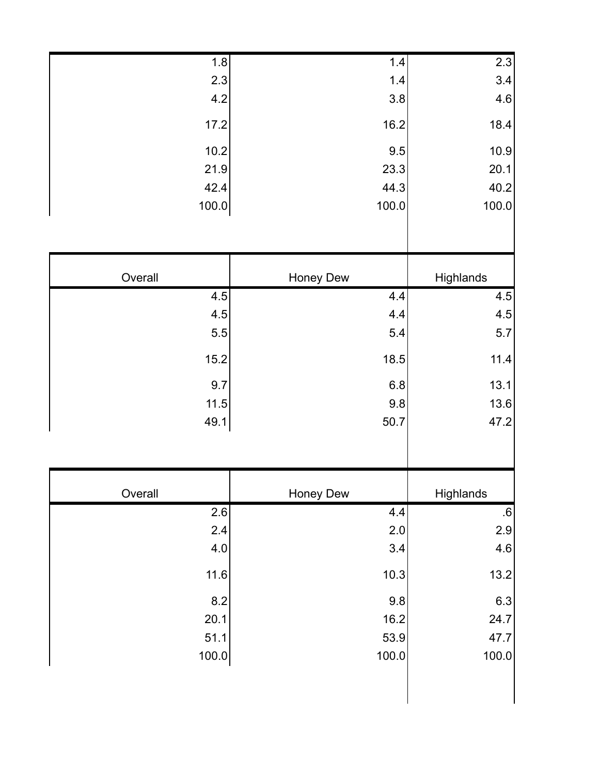| 2.3       |           |                  |
|-----------|-----------|------------------|
|           | 1.4       | 1.8              |
| 3.4       | $1.4$     | 2.3              |
| 4.6       | 3.8       | 4.2              |
| 18.4      | 16.2      | 17.2             |
| 10.9      | 9.5       | 10.2             |
| 20.1      | 23.3      | 21.9             |
| 40.2      | 44.3      | 42.4             |
| 100.0     | 100.0     | 100.0            |
|           |           |                  |
| Highlands | Honey Dew | Overall          |
| 4.5       | 4.4       | 4.5              |
| 4.5       | 4.4       | 4.5              |
| $5.7$     | 5.4       | $5.5\,$          |
| 11.4      | 18.5      | 15.2             |
| 13.1      | 6.8       | 9.7              |
| 13.6      | 9.8       | 11.5             |
| 47.2      | 50.7      | 49.1             |
|           |           |                  |
|           |           |                  |
| Highlands | Honey Dew | Overall          |
| $.6\,$    | 4.4       | $\overline{2.6}$ |
| $2.9\,$   | 2.0       | 2.4              |
| 4.6       | 3.4       | 4.0              |
| 13.2      | 10.3      | 11.6             |
| 6.3       | 9.8       | 8.2              |
| 24.7      | 16.2      | 20.1             |
| 47.7      | 53.9      | 51.1             |
|           | 100.0     | 100.0            |
|           |           |                  |
| 100.0     |           |                  |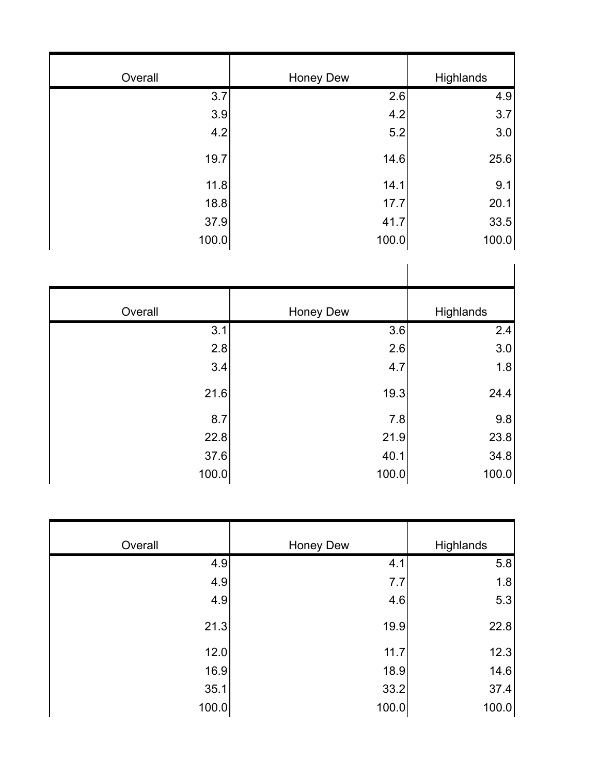| Overall | Honey Dew | Highlands |
|---------|-----------|-----------|
| 3.7     | 2.6       | 4.9       |
| 3.9     | 4.2       | 3.7       |
| 4.2     | 5.2       | 3.0       |
| 19.7    | 14.6      | 25.6      |
| 11.8    | 14.1      | 9.1       |
| 18.8    | 17.7      | 20.1      |
| 37.9    | 41.7      | 33.5      |
| 100.0   | 100.0     | 100.0     |

| Overall | Honey Dew | Highlands |
|---------|-----------|-----------|
| 3.1     | 3.6       | 2.4       |
| 2.8     | 2.6       | 3.0       |
| 3.4     | 4.7       | 1.8       |
| 21.6    | 19.3      | 24.4      |
| 8.7     | 7.8       | 9.8       |
| 22.8    | 21.9      | 23.8      |
| 37.6    | 40.1      | 34.8      |
| 100.0   | 100.0     | 100.0     |

| Overall | <b>Honey Dew</b> | Highlands |
|---------|------------------|-----------|
| 4.9     | 4.1              | 5.8       |
| 4.9     | 7.7              | 1.8       |
| 4.9     | 4.6              | 5.3       |
| 21.3    | 19.9             | 22.8      |
| 12.0    | 11.7             | 12.3      |
| 16.9    | 18.9             | 14.6      |
| 35.1    | 33.2             | 37.4      |
| 100.0   | 100.0            | 100.0     |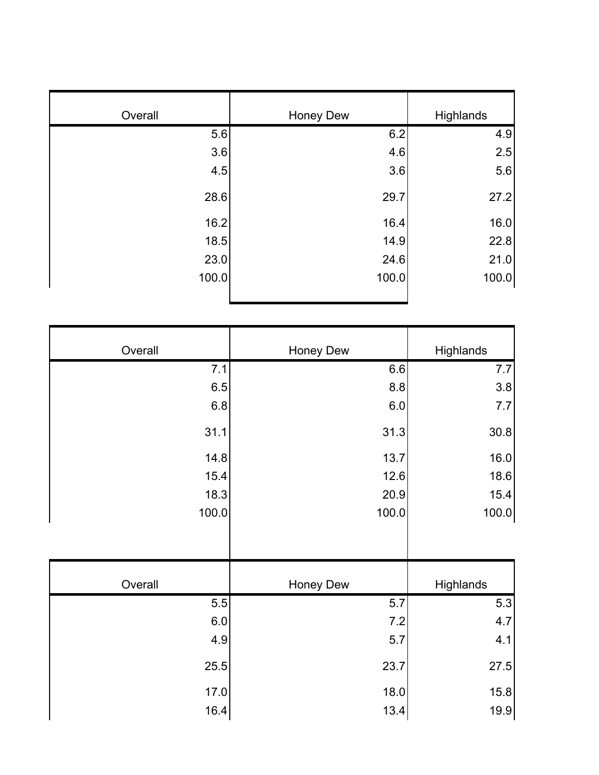| Overall | Honey Dew | Highlands |
|---------|-----------|-----------|
| 5.6     | 6.2       | 4.9       |
| 3.6     | 4.6       | 2.5       |
| 4.5     | 3.6       | 5.6       |
| 28.6    | 29.7      | 27.2      |
| 16.2    | 16.4      | 16.0      |
| 18.5    | 14.9      | 22.8      |
| 23.0    | 24.6      | 21.0      |
| 100.0   | 100.0     | 100.0     |
|         |           |           |

| Overall | <b>Honey Dew</b> | Highlands |
|---------|------------------|-----------|
| 7.1     | 6.6              | 7.7       |
| 6.5     | 8.8              | 3.8       |
| 6.8     | 6.0              | 7.7       |
| 31.1    | 31.3             | 30.8      |
| 14.8    | 13.7             | 16.0      |
| 15.4    | 12.6             | 18.6      |
| 18.3    | 20.9             | 15.4      |
| 100.0   | 100.0            | 100.0     |
|         |                  |           |
| Overall | <b>Honey Dew</b> | Highlands |
| 5.5     | 5.7              | 5.3       |
| 6.0     | 7.2              | 4.7       |
| 4.9     | 5.7              | 4.1       |
| 25.5    | 23.7             | 27.5      |
|         |                  |           |
| 17.0    | 18.0             | 15.8      |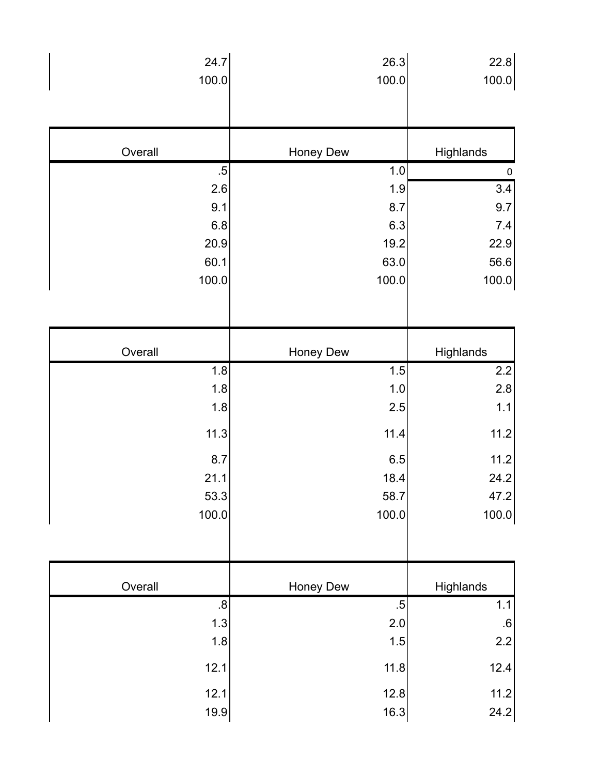| 24.7            | 26.3             | 22.8             |
|-----------------|------------------|------------------|
| 100.0           | 100.0            | 100.0            |
|                 |                  |                  |
|                 |                  |                  |
| Overall         | Honey Dew        | Highlands        |
| $.5\phantom{0}$ | 1.0              | $\pmb{0}$        |
| 2.6             | 1.9              | $\overline{3.4}$ |
| 9.1             | 8.7              | 9.7              |
| 6.8             | 6.3              | $7.4$            |
| 20.9            | 19.2             | 22.9             |
| 60.1            | 63.0             | 56.6             |
| 100.0           | 100.0            | 100.0            |
|                 |                  |                  |
|                 |                  |                  |
| Overall         | <b>Honey Dew</b> | Highlands        |
| 1.8             | 1.5              | 2.2              |
| 1.8             | $1.0$            | 2.8              |
| 1.8             | 2.5              | 1.1              |
| 11.3            | 11.4             | 11.2             |
| 8.7             | 6.5              | 11.2             |
| 21.1            | 18.4             | 24.2             |
| 53.3            | 58.7             | 47.2             |
| 100.0           | 100.0            | 100.0            |
|                 |                  |                  |
|                 |                  |                  |
|                 |                  |                  |
| Overall         | Honey Dew        | Highlands        |
| .8              | $.5\,$           | $1.1$            |
| 1.3<br>1.8      | 2.0<br>1.5       | $\cdot 6$<br>2.2 |
| 12.1            | 11.8             | 12.4             |
| 12.1            | 12.8             | 11.2             |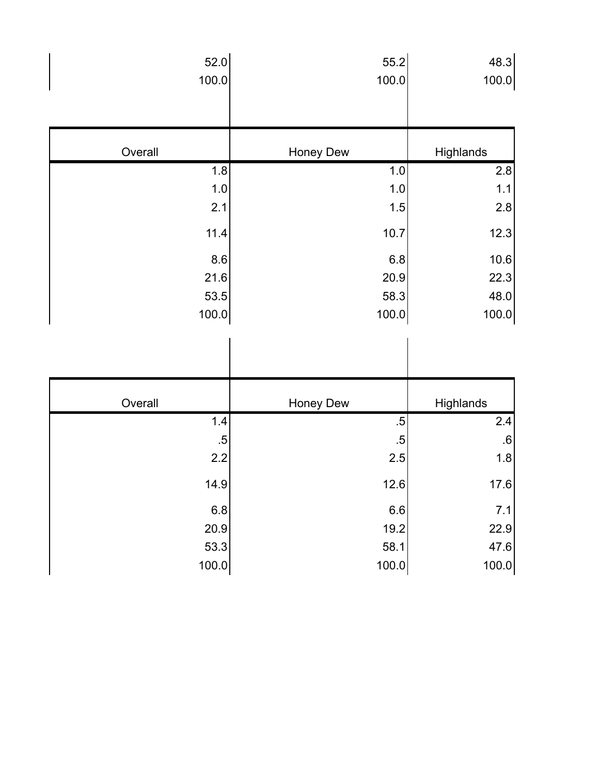| 52.0            | 55.2      | 48.3          |
|-----------------|-----------|---------------|
| 100.0           | 100.0     | 100.0         |
|                 |           |               |
| Overall         | Honey Dew | Highlands     |
| 1.8             | $1.0$     | 2.8           |
| 1.0             | $1.0$     | 1.1           |
| 2.1             | 1.5       | 2.8           |
| 11.4            | 10.7      | 12.3          |
| 8.6             | 6.8       | 10.6          |
| 21.6            | 20.9      | 22.3          |
| 53.5            | 58.3      | 48.0          |
|                 |           |               |
| 100.0           | 100.0     | 100.0         |
|                 |           |               |
| Overall         | Honey Dew | Highlands     |
| $1.4$           | .5        | 2.4           |
| $.5\phantom{0}$ | $.5\,$    | .6            |
| 2.2             | 2.5       | 1.8           |
| 14.9            | 12.6      | 17.6          |
| 6.8             | 6.6       | $7.1$         |
| 20.9            | 19.2      | 22.9          |
| 53.3            | 58.1      | 47.6<br>100.0 |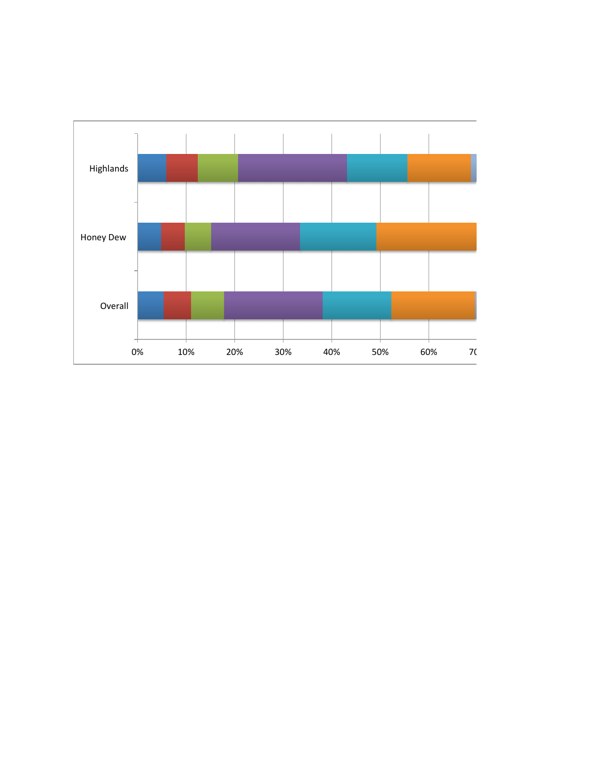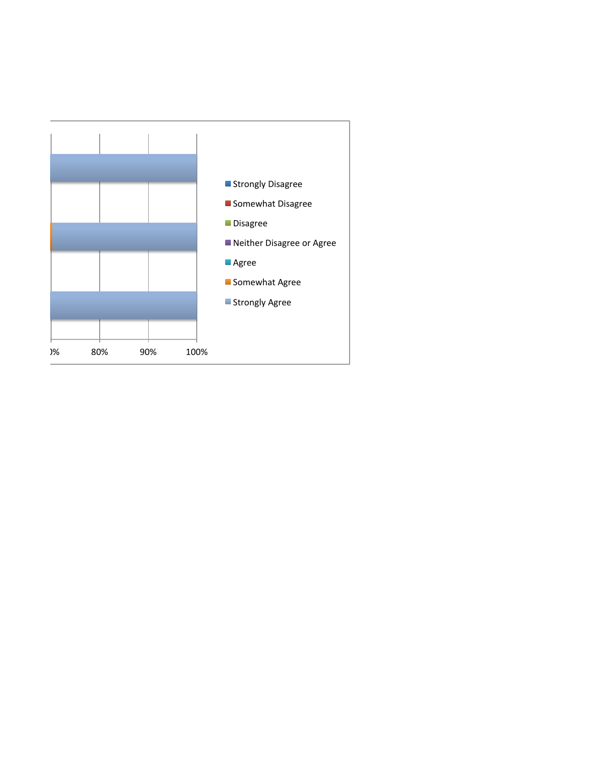